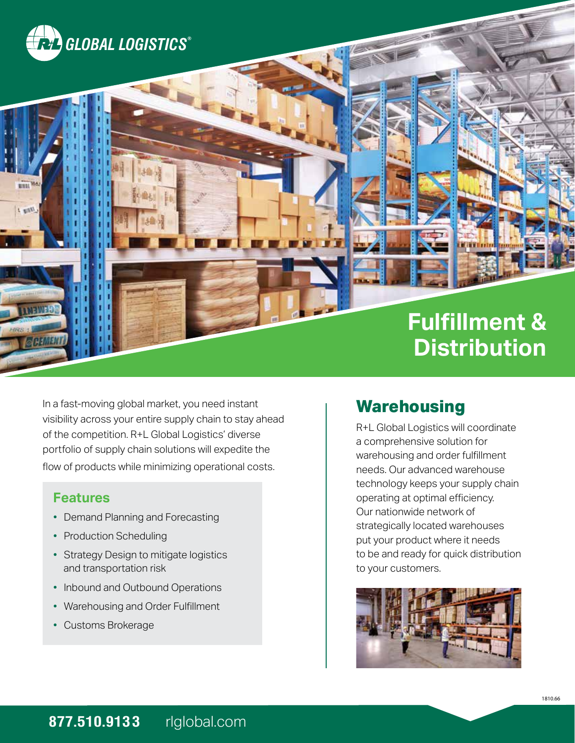

 $U_{\text{exp}}$ 

# **Fulfillment & Distribution**

In a fast-moving global market, you need instant visibility across your entire supply chain to stay ahead of the competition. R+L Global Logistics' diverse portfolio of supply chain solutions will expedite the flow of products while minimizing operational costs.

#### **Features**

- Demand Planning and Forecasting
- Production Scheduling
- Strategy Design to mitigate logistics and transportation risk
- Inbound and Outbound Operations
- Warehousing and Order Fulfillment
- Customs Brokerage

### **Warehousing**

R+L Global Logistics will coordinate a comprehensive solution for warehousing and order fulfillment needs. Our advanced warehouse technology keeps your supply chain operating at optimal efficiency. Our nationwide network of strategically located warehouses put your product where it needs to be and ready for quick distribution to your customers.